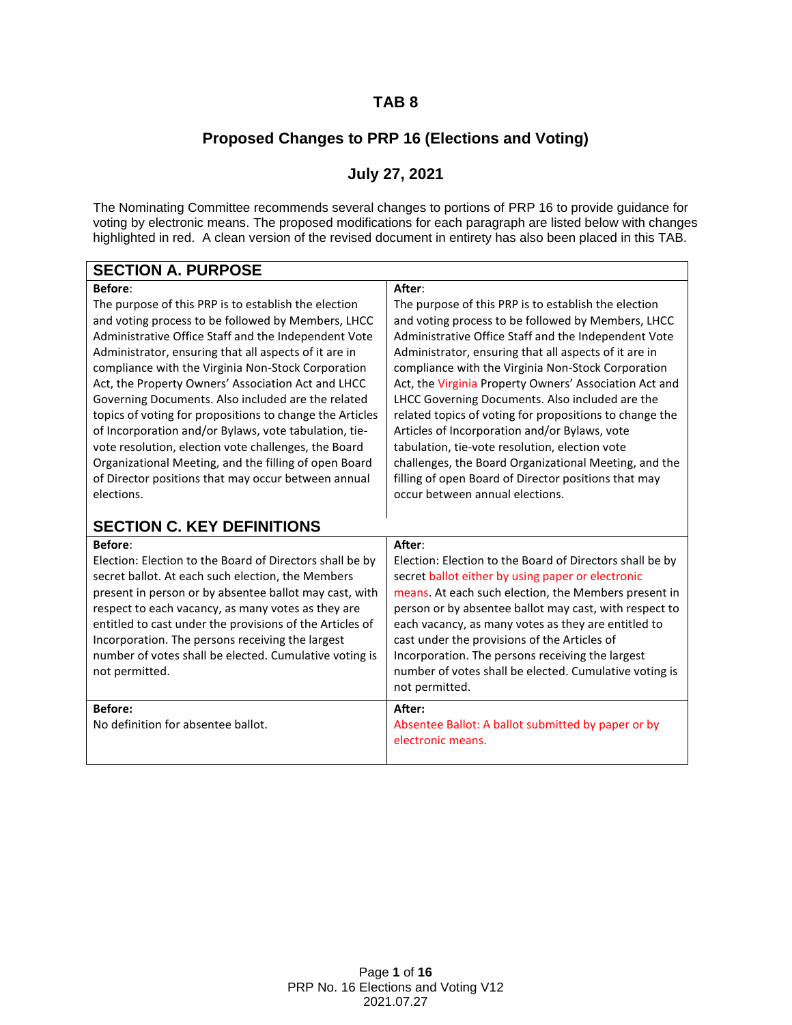### **TAB 8**

## **Proposed Changes to PRP 16 (Elections and Voting)**

## **July 27, 2021**

<span id="page-0-0"></span>The Nominating Committee recommends several changes to portions of PRP 16 to provide guidance for voting by electronic means. The proposed modifications for each paragraph are listed below with changes highlighted in red. A clean version of the revised document in entirety has also been placed in this TAB.

| <b>SECTION A. PURPOSE</b>                                |                                                          |
|----------------------------------------------------------|----------------------------------------------------------|
| Before:                                                  | After:                                                   |
| The purpose of this PRP is to establish the election     | The purpose of this PRP is to establish the election     |
| and voting process to be followed by Members, LHCC       | and voting process to be followed by Members, LHCC       |
| Administrative Office Staff and the Independent Vote     | Administrative Office Staff and the Independent Vote     |
| Administrator, ensuring that all aspects of it are in    | Administrator, ensuring that all aspects of it are in    |
| compliance with the Virginia Non-Stock Corporation       | compliance with the Virginia Non-Stock Corporation       |
| Act, the Property Owners' Association Act and LHCC       | Act, the Virginia Property Owners' Association Act and   |
| Governing Documents. Also included are the related       | LHCC Governing Documents. Also included are the          |
| topics of voting for propositions to change the Articles | related topics of voting for propositions to change the  |
| of Incorporation and/or Bylaws, vote tabulation, tie-    | Articles of Incorporation and/or Bylaws, vote            |
| vote resolution, election vote challenges, the Board     | tabulation, tie-vote resolution, election vote           |
| Organizational Meeting, and the filling of open Board    | challenges, the Board Organizational Meeting, and the    |
| of Director positions that may occur between annual      | filling of open Board of Director positions that may     |
| elections.                                               | occur between annual elections.                          |
| <b>SECTION C. KEY DEFINITIONS</b>                        |                                                          |
| <b>Before:</b>                                           | After:                                                   |
| Election: Election to the Board of Directors shall be by | Election: Election to the Board of Directors shall be by |
| secret ballot. At each such election, the Members        | secret ballot either by using paper or electronic        |
| present in person or by absentee ballot may cast, with   | means. At each such election, the Members present in     |
| respect to each vacancy, as many votes as they are       | person or by absentee ballot may cast, with respect to   |
| entitled to cast under the provisions of the Articles of | each vacancy, as many votes as they are entitled to      |
| Incorporation. The persons receiving the largest         | cast under the provisions of the Articles of             |
| number of votes shall be elected. Cumulative voting is   | Incorporation. The persons receiving the largest         |
| not permitted.                                           | number of votes shall be elected. Cumulative voting is   |
|                                                          | not permitted.                                           |
| <b>Before:</b>                                           | After:                                                   |
| No definition for absentee ballot.                       | Absentee Ballot: A ballot submitted by paper or by       |

electronic means.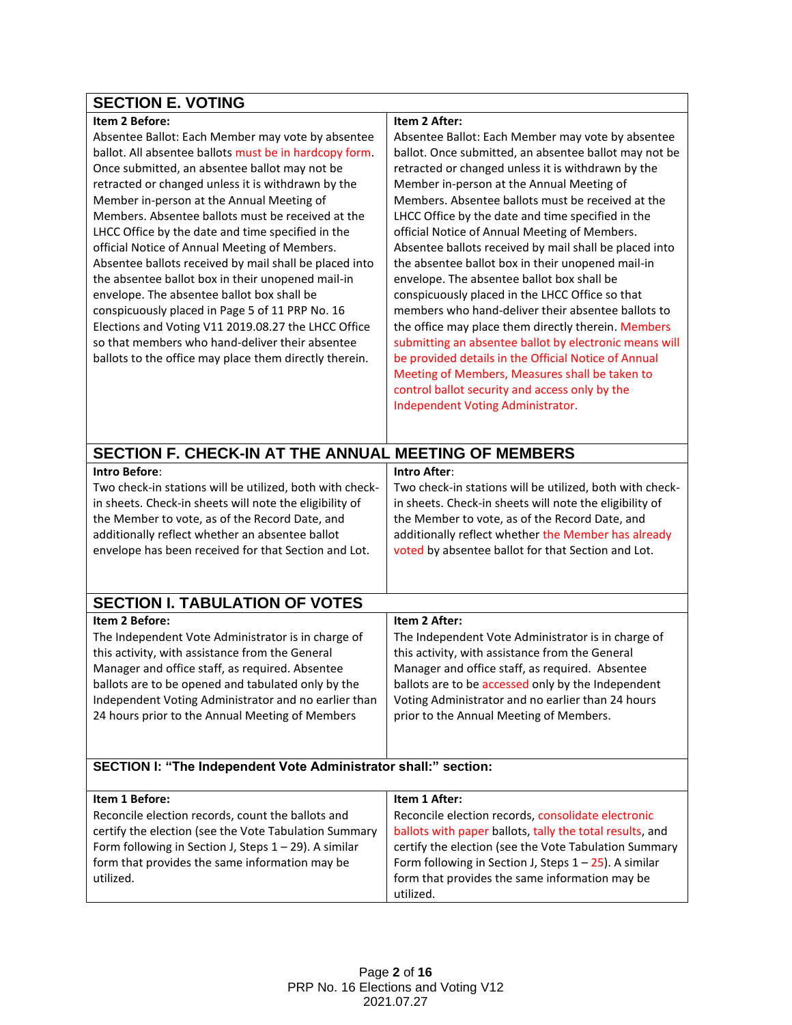#### **Item 2 Before:**

Absentee Ballot: Each Member may vote by absentee ballot. All absentee ballots must be in hardcopy form. Once submitted, an absentee ballot may not be retracted or changed unless it is withdrawn by the Member in-person at the Annual Meeting of Members. Absentee ballots must be received at the LHCC Office by the date and time specified in the official Notice of Annual Meeting of Members. Absentee ballots received by mail shall be placed into the absentee ballot box in their unopened mail-in envelope. The absentee ballot box shall be conspicuously placed in Page 5 of 11 PRP No. 16 Elections and Voting V11 2019.08.27 the LHCC Office so that members who hand-deliver their absentee ballots to the office may place them directly therein.

#### **Item 2 After:**

Absentee Ballot: Each Member may vote by absentee ballot. Once submitted, an absentee ballot may not be retracted or changed unless it is withdrawn by the Member in-person at the Annual Meeting of Members. Absentee ballots must be received at the LHCC Office by the date and time specified in the official Notice of Annual Meeting of Members. Absentee ballots received by mail shall be placed into the absentee ballot box in their unopened mail-in envelope. The absentee ballot box shall be conspicuously placed in the LHCC Office so that members who hand-deliver their absentee ballots to the office may place them directly therein. Members submitting an absentee ballot by electronic means will be provided details in the Official Notice of Annual Meeting of Members, Measures shall be taken to control ballot security and access only by the Independent Voting Administrator.

<span id="page-1-0"></span>

| <b>SECTION F. CHECK-IN AT THE ANNUAL MEETING OF MEMBERS</b>                                                                                                                                                                                                                                                                                 |                                                                                                                                                                                                                                                                                                                                 |  |  |  |
|---------------------------------------------------------------------------------------------------------------------------------------------------------------------------------------------------------------------------------------------------------------------------------------------------------------------------------------------|---------------------------------------------------------------------------------------------------------------------------------------------------------------------------------------------------------------------------------------------------------------------------------------------------------------------------------|--|--|--|
| Intro Before:<br>Two check-in stations will be utilized, both with check-<br>in sheets. Check-in sheets will note the eligibility of<br>the Member to vote, as of the Record Date, and<br>additionally reflect whether an absentee ballot<br>envelope has been received for that Section and Lot.                                           | <b>Intro After:</b><br>Two check-in stations will be utilized, both with check-<br>in sheets. Check-in sheets will note the eligibility of<br>the Member to vote, as of the Record Date, and<br>additionally reflect whether the Member has already<br>voted by absentee ballot for that Section and Lot.                       |  |  |  |
| <b>SECTION I. TABULATION OF VOTES</b>                                                                                                                                                                                                                                                                                                       |                                                                                                                                                                                                                                                                                                                                 |  |  |  |
| Item 2 Before:<br>The Independent Vote Administrator is in charge of<br>this activity, with assistance from the General<br>Manager and office staff, as required. Absentee<br>ballots are to be opened and tabulated only by the<br>Independent Voting Administrator and no earlier than<br>24 hours prior to the Annual Meeting of Members | Item 2 After:<br>The Independent Vote Administrator is in charge of<br>this activity, with assistance from the General<br>Manager and office staff, as required. Absentee<br>ballots are to be accessed only by the Independent<br>Voting Administrator and no earlier than 24 hours<br>prior to the Annual Meeting of Members. |  |  |  |
| SECTION I: "The Independent Vote Administrator shall:" section:                                                                                                                                                                                                                                                                             |                                                                                                                                                                                                                                                                                                                                 |  |  |  |
| Item 1 Before:<br>Reconcile election records, count the ballots and<br>certify the election (see the Vote Tabulation Summary<br>Form following in Section J, Steps 1 - 29). A similar<br>form that provides the same information may be<br>utilized.                                                                                        | Item 1 After:<br>Reconcile election records, consolidate electronic<br>ballots with paper ballots, tally the total results, and<br>certify the election (see the Vote Tabulation Summary<br>Form following in Section J, Steps $1 - 25$ ). A similar<br>form that provides the same information may be<br>utilized.             |  |  |  |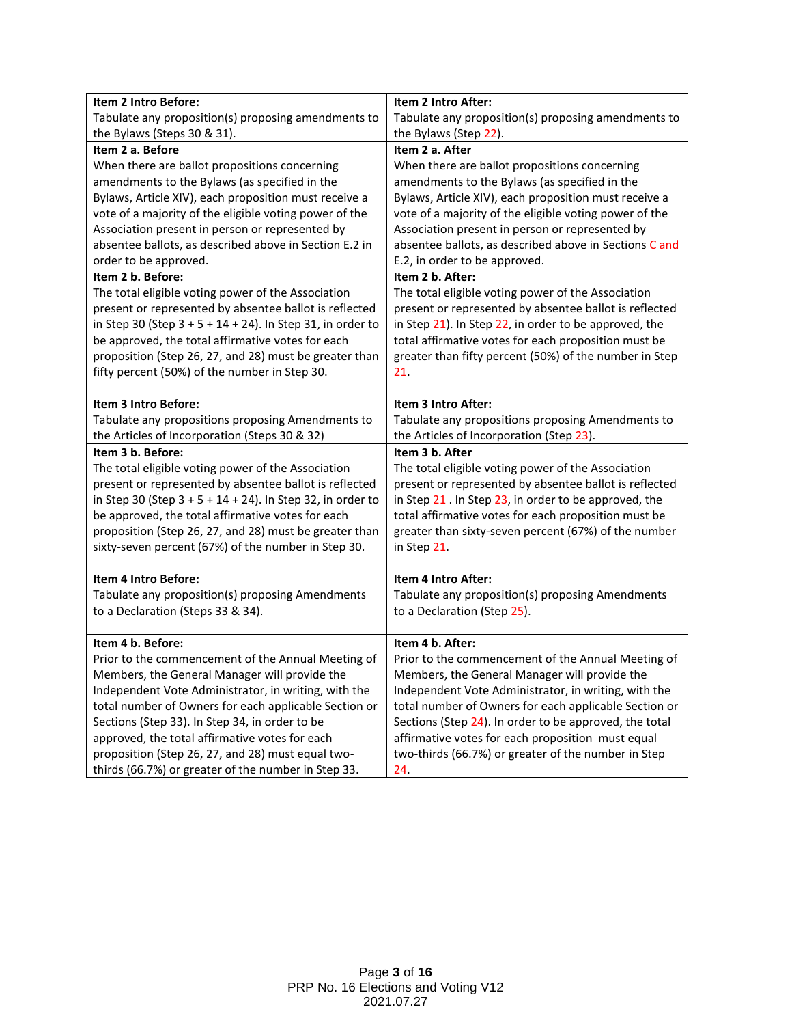| Item 2 Intro Before:                                       | Item 2 Intro After:                                                             |
|------------------------------------------------------------|---------------------------------------------------------------------------------|
| Tabulate any proposition(s) proposing amendments to        | Tabulate any proposition(s) proposing amendments to                             |
| the Bylaws (Steps 30 & 31).                                | the Bylaws (Step 22).                                                           |
| Item 2 a. Before                                           | Item 2 a. After                                                                 |
| When there are ballot propositions concerning              | When there are ballot propositions concerning                                   |
| amendments to the Bylaws (as specified in the              | amendments to the Bylaws (as specified in the                                   |
| Bylaws, Article XIV), each proposition must receive a      | Bylaws, Article XIV), each proposition must receive a                           |
| vote of a majority of the eligible voting power of the     | vote of a majority of the eligible voting power of the                          |
| Association present in person or represented by            | Association present in person or represented by                                 |
| absentee ballots, as described above in Section E.2 in     | absentee ballots, as described above in Sections C and                          |
| order to be approved.                                      | E.2, in order to be approved.                                                   |
| Item 2 b. Before:                                          | Item 2 b. After:                                                                |
| The total eligible voting power of the Association         | The total eligible voting power of the Association                              |
| present or represented by absentee ballot is reflected     | present or represented by absentee ballot is reflected                          |
| in Step 30 (Step 3 + 5 + 14 + 24). In Step 31, in order to | in Step 21). In Step 22, in order to be approved, the                           |
| be approved, the total affirmative votes for each          | total affirmative votes for each proposition must be                            |
| proposition (Step 26, 27, and 28) must be greater than     | greater than fifty percent (50%) of the number in Step                          |
| fifty percent (50%) of the number in Step 30.              | 21.                                                                             |
|                                                            |                                                                                 |
| Item 3 Intro Before:                                       | Item 3 Intro After:                                                             |
| Tabulate any propositions proposing Amendments to          | Tabulate any propositions proposing Amendments to                               |
| the Articles of Incorporation (Steps 30 & 32)              | the Articles of Incorporation (Step 23).                                        |
| Item 3 b. Before:                                          | Item 3 b. After                                                                 |
| The total eligible voting power of the Association         | The total eligible voting power of the Association                              |
| present or represented by absentee ballot is reflected     | present or represented by absentee ballot is reflected                          |
| in Step 30 (Step 3 + 5 + 14 + 24). In Step 32, in order to | in Step 21 . In Step 23, in order to be approved, the                           |
| be approved, the total affirmative votes for each          | total affirmative votes for each proposition must be                            |
| proposition (Step 26, 27, and 28) must be greater than     | greater than sixty-seven percent (67%) of the number                            |
| sixty-seven percent (67%) of the number in Step 30.        | in Step 21.                                                                     |
| Item 4 Intro Before:                                       | Item 4 Intro After:                                                             |
| Tabulate any proposition(s) proposing Amendments           |                                                                                 |
| to a Declaration (Steps 33 & 34).                          | Tabulate any proposition(s) proposing Amendments<br>to a Declaration (Step 25). |
|                                                            |                                                                                 |
| Item 4 b. Before:                                          | Item 4 b. After:                                                                |
| Prior to the commencement of the Annual Meeting of         | Prior to the commencement of the Annual Meeting of                              |
| Members, the General Manager will provide the              | Members, the General Manager will provide the                                   |
| Independent Vote Administrator, in writing, with the       | Independent Vote Administrator, in writing, with the                            |
| total number of Owners for each applicable Section or      | total number of Owners for each applicable Section or                           |
| Sections (Step 33). In Step 34, in order to be             | Sections (Step 24). In order to be approved, the total                          |
| approved, the total affirmative votes for each             | affirmative votes for each proposition must equal                               |
| proposition (Step 26, 27, and 28) must equal two-          | two-thirds (66.7%) or greater of the number in Step                             |
| thirds (66.7%) or greater of the number in Step 33.        | 24.                                                                             |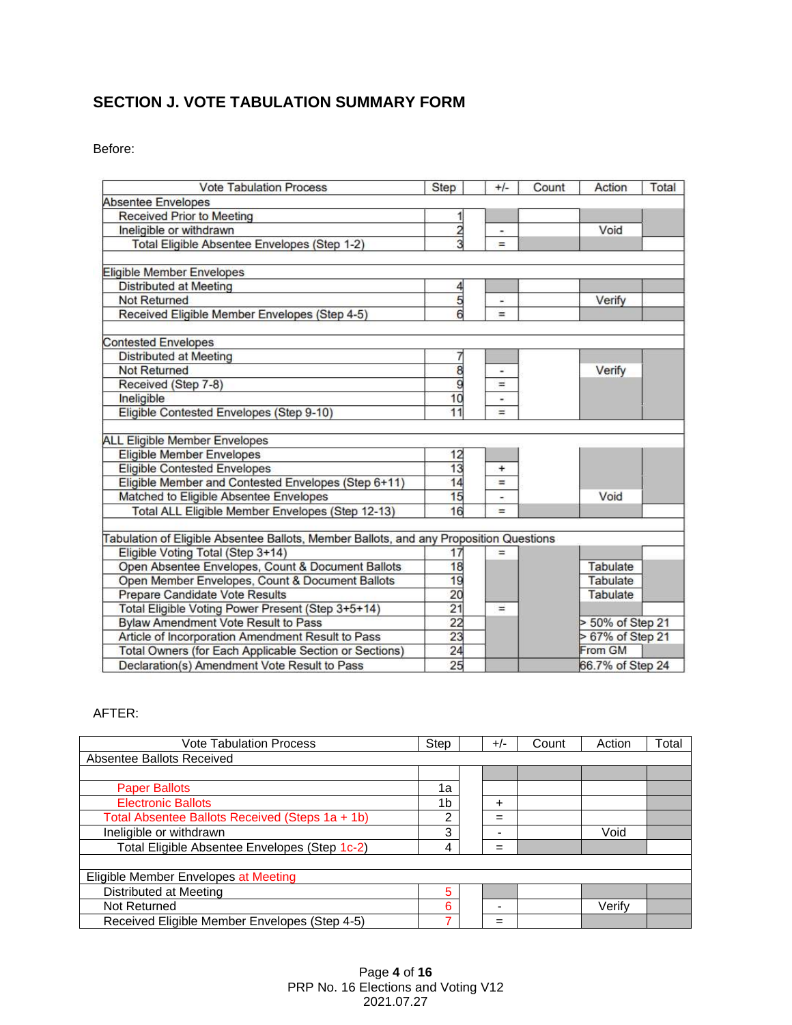## **SECTION J. VOTE TABULATION SUMMARY FORM**

Before:

| <b>Vote Tabulation Process</b>                                                         | <b>Step</b>     | $+/-$  | Count | Action           | Total |
|----------------------------------------------------------------------------------------|-----------------|--------|-------|------------------|-------|
| <b>Absentee Envelopes</b>                                                              |                 |        |       |                  |       |
| <b>Received Prior to Meeting</b>                                                       |                 |        |       |                  |       |
| Ineligible or withdrawn                                                                |                 | ۰      |       | Void             |       |
| Total Eligible Absentee Envelopes (Step 1-2)                                           | 3               | $=$    |       |                  |       |
|                                                                                        |                 |        |       |                  |       |
| Eligible Member Envelopes                                                              |                 |        |       |                  |       |
| <b>Distributed at Meeting</b>                                                          | 4               |        |       |                  |       |
| Not Returned                                                                           | 5               | w.     |       | Verify           |       |
| Received Eligible Member Envelopes (Step 4-5)                                          | 6               | $=$    |       |                  |       |
| <b>Contested Envelopes</b>                                                             |                 |        |       |                  |       |
| <b>Distributed at Meeting</b>                                                          |                 |        |       |                  |       |
| <b>Not Returned</b>                                                                    | 8               | ÷      |       | Verify           |       |
| Received (Step 7-8)                                                                    | 9               | $=$    |       |                  |       |
| Ineligible                                                                             | 10              | ٠      |       |                  |       |
| Eligible Contested Envelopes (Step 9-10)                                               | 11              | $=$    |       |                  |       |
| <b>ALL Eligible Member Envelopes</b>                                                   |                 |        |       |                  |       |
| <b>Eligible Member Envelopes</b>                                                       | 12              |        |       |                  |       |
| <b>Eligible Contested Envelopes</b>                                                    | 13              | $^{+}$ |       |                  |       |
| Eligible Member and Contested Envelopes (Step 6+11)                                    | 14              | =      |       |                  |       |
| Matched to Eligible Absentee Envelopes                                                 | 15              |        |       | Void             |       |
| Total ALL Eligible Member Envelopes (Step 12-13)                                       | 16              | $=$    |       |                  |       |
|                                                                                        |                 |        |       |                  |       |
| Tabulation of Eligible Absentee Ballots, Member Ballots, and any Proposition Questions |                 |        |       |                  |       |
| Eligible Voting Total (Step 3+14)                                                      | 17              | $=$    |       |                  |       |
| Open Absentee Envelopes, Count & Document Ballots                                      | 18              |        |       | Tabulate         |       |
| Open Member Envelopes, Count & Document Ballots                                        | 19              |        |       | Tabulate         |       |
| Prepare Candidate Vote Results                                                         | 20              |        |       | Tabulate         |       |
| Total Eligible Voting Power Present (Step 3+5+14)                                      | 21              | $=$    |       |                  |       |
| <b>Bylaw Amendment Vote Result to Pass</b>                                             | $\overline{22}$ |        |       | > 50% of Step 21 |       |
| Article of Incorporation Amendment Result to Pass                                      | 23              |        |       | > 67% of Step 21 |       |
| Total Owners (for Each Applicable Section or Sections)                                 | 24              |        |       | From GM          |       |
| Declaration(s) Amendment Vote Result to Pass                                           | 25              |        |       | 66.7% of Step 24 |       |

AFTER:

| Vote Tabulation Process                         | Step | $+/-$ | Count | Action | Total |  |
|-------------------------------------------------|------|-------|-------|--------|-------|--|
| Absentee Ballots Received                       |      |       |       |        |       |  |
|                                                 |      |       |       |        |       |  |
| <b>Paper Ballots</b>                            | 1a   |       |       |        |       |  |
| <b>Electronic Ballots</b>                       | 1b   | +     |       |        |       |  |
| Total Absentee Ballots Received (Steps 1a + 1b) | 2    | =     |       |        |       |  |
| Ineligible or withdrawn                         | 3    | -     |       | Void   |       |  |
| Total Eligible Absentee Envelopes (Step 1c-2)   | 4    | $=$   |       |        |       |  |
|                                                 |      |       |       |        |       |  |
| Eligible Member Envelopes at Meeting            |      |       |       |        |       |  |
| Distributed at Meeting                          | 5    |       |       |        |       |  |
| Not Returned                                    | 6    |       |       | Verify |       |  |
| Received Eligible Member Envelopes (Step 4-5)   | ⇁    | =     |       |        |       |  |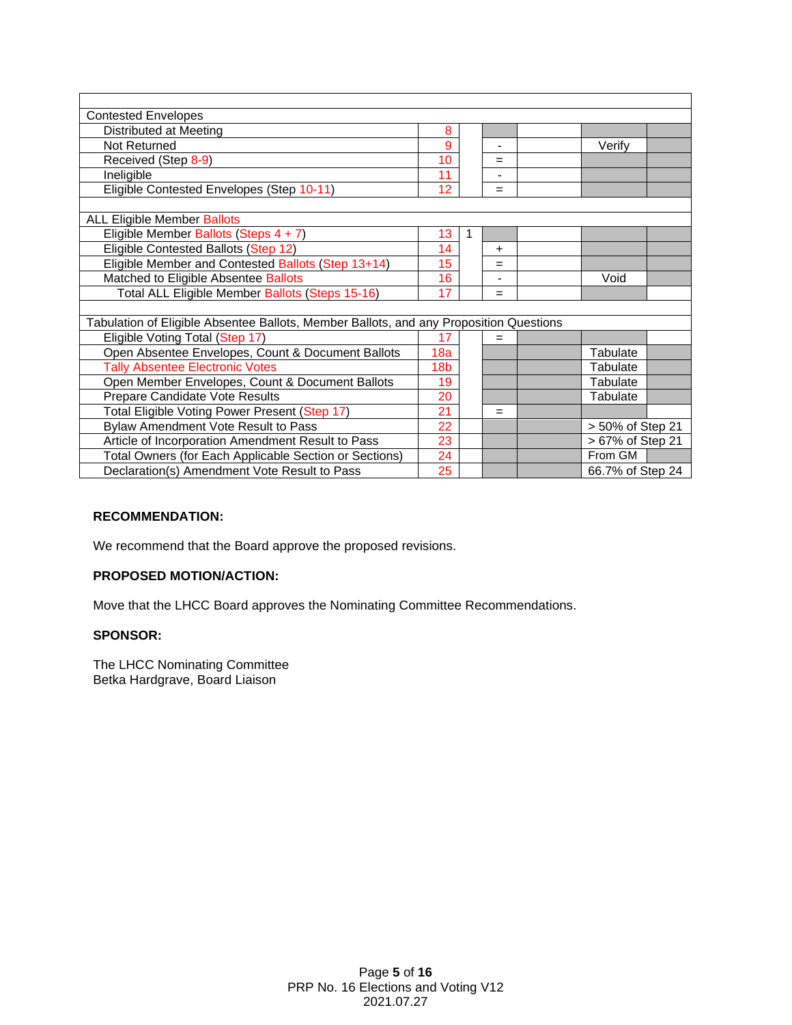| <b>Contested Envelopes</b>                                                             |                        |              |                |  |                  |  |
|----------------------------------------------------------------------------------------|------------------------|--------------|----------------|--|------------------|--|
| Distributed at Meeting                                                                 | 8                      |              |                |  |                  |  |
| Not Returned                                                                           | 9                      |              | $\blacksquare$ |  | Verify           |  |
| Received (Step 8-9)                                                                    | 10                     |              | $=$            |  |                  |  |
| Ineligible                                                                             | 11                     |              |                |  |                  |  |
| Eligible Contested Envelopes (Step 10-11)                                              | 12                     |              | $=$            |  |                  |  |
|                                                                                        |                        |              |                |  |                  |  |
| <b>ALL Eligible Member Ballots</b>                                                     |                        |              |                |  |                  |  |
| Eligible Member Ballots (Steps 4 + 7)                                                  | 13                     | $\mathbf{1}$ |                |  |                  |  |
| Eligible Contested Ballots (Step 12)                                                   | 14                     |              | $\pm$          |  |                  |  |
| Eligible Member and Contested Ballots (Step 13+14)                                     | 15<br>$=$              |              |                |  |                  |  |
| Matched to Eligible Absentee Ballots                                                   | 16                     |              |                |  | Void             |  |
| Total ALL Eligible Member Ballots (Steps 15-16)                                        | 17                     |              | =              |  |                  |  |
|                                                                                        |                        |              |                |  |                  |  |
| Tabulation of Eligible Absentee Ballots, Member Ballots, and any Proposition Questions |                        |              |                |  |                  |  |
| Eligible Voting Total (Step 17)                                                        | 17                     |              | =              |  |                  |  |
| Open Absentee Envelopes, Count & Document Ballots                                      | 18a                    |              |                |  | <b>Tabulate</b>  |  |
| <b>Tally Absentee Electronic Votes</b>                                                 | 18b                    |              |                |  | Tabulate         |  |
| Open Member Envelopes, Count & Document Ballots                                        | 19                     |              |                |  | Tabulate         |  |
| Prepare Candidate Vote Results                                                         | 20                     |              |                |  | Tabulate         |  |
| Total Eligible Voting Power Present (Step 17)                                          | 21                     |              | $=$            |  |                  |  |
| Bylaw Amendment Vote Result to Pass                                                    | 22<br>> 50% of Step 21 |              |                |  |                  |  |
| Article of Incorporation Amendment Result to Pass                                      | 23                     |              |                |  | > 67% of Step 21 |  |
| Total Owners (for Each Applicable Section or Sections)                                 | 24                     |              |                |  | From GM          |  |
| Declaration(s) Amendment Vote Result to Pass                                           | 25                     |              |                |  | 66.7% of Step 24 |  |

#### **RECOMMENDATION:**

We recommend that the Board approve the proposed revisions.

#### **PROPOSED MOTION/ACTION:**

Move that the LHCC Board approves the Nominating Committee Recommendations.

#### **SPONSOR:**

The LHCC Nominating Committee Betka Hardgrave, Board Liaison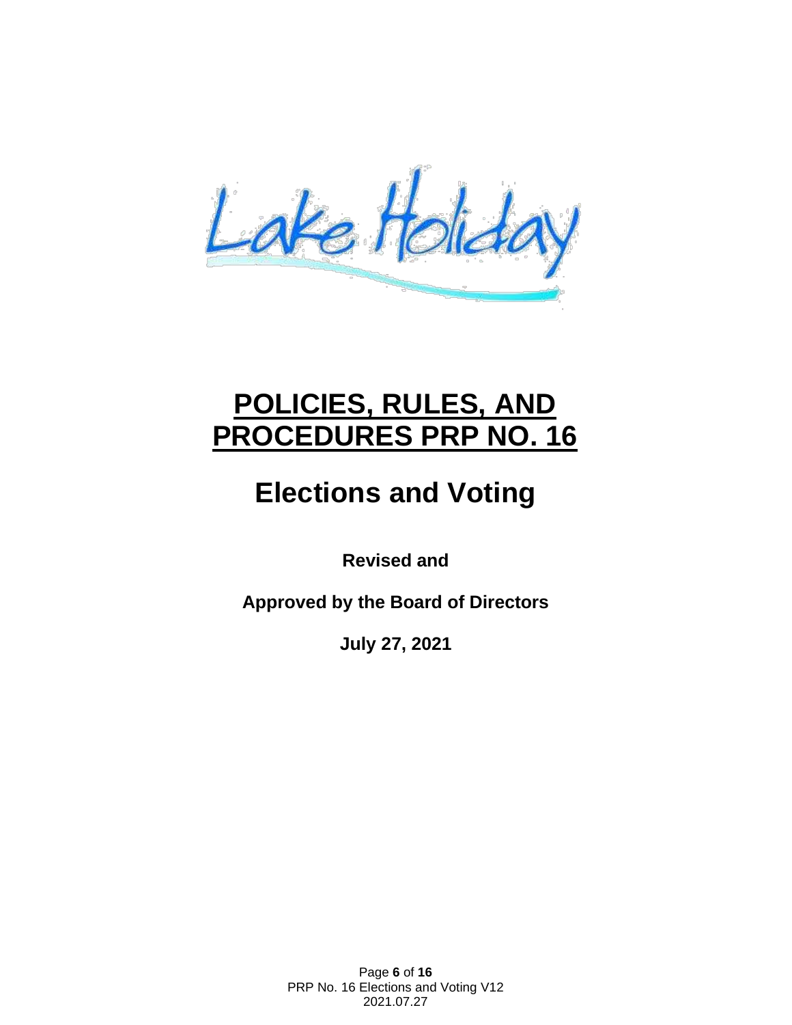Lake Holiday

# **POLICIES, RULES, AND PROCEDURES PRP NO. 16**

# **Elections and Voting**

**Revised and**

**Approved by the Board of Directors**

**July 27, 2021**

Page **6** of **16** PRP No. 16 Elections and Voting V12 2021.07.27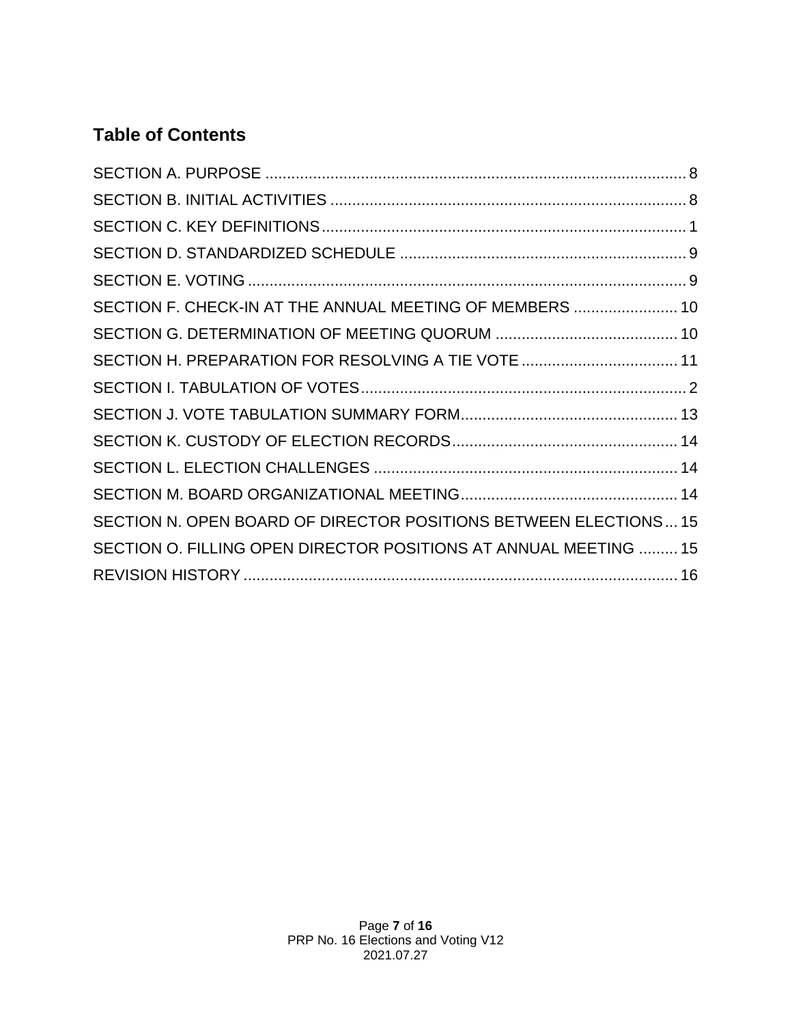# **Table of Contents**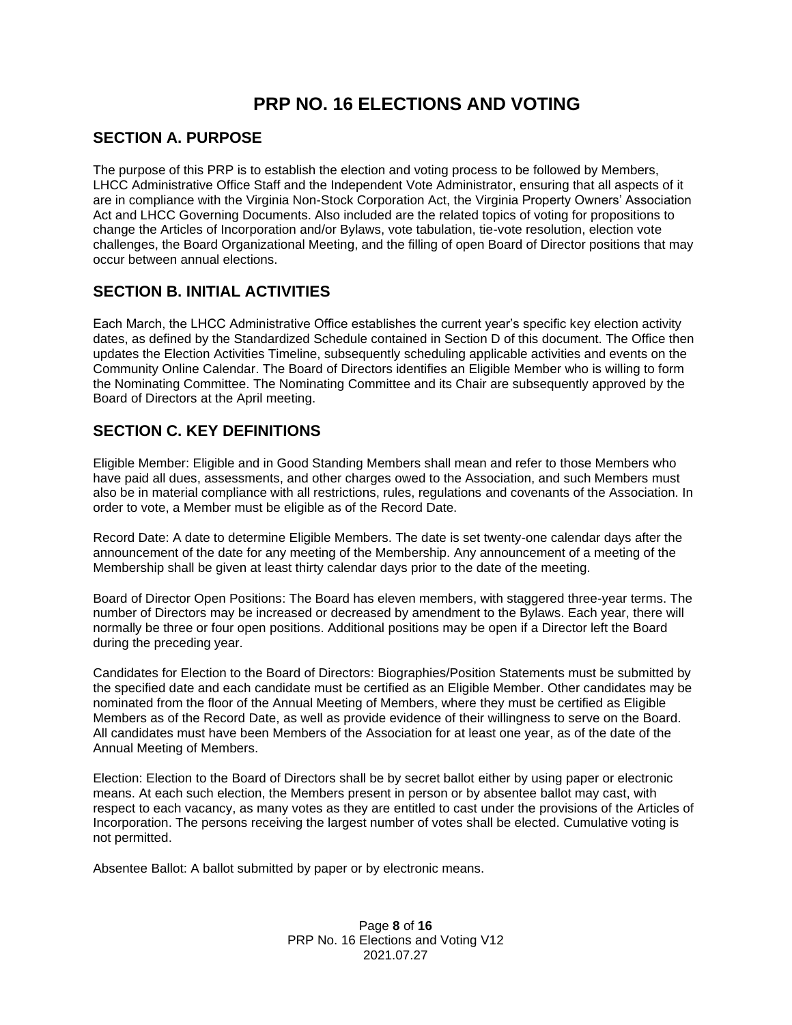# **PRP NO. 16 ELECTIONS AND VOTING**

### <span id="page-7-0"></span>**SECTION A. PURPOSE**

The purpose of this PRP is to establish the election and voting process to be followed by Members, LHCC Administrative Office Staff and the Independent Vote Administrator, ensuring that all aspects of it are in compliance with the Virginia Non-Stock Corporation Act, the Virginia Property Owners' Association Act and LHCC Governing Documents. Also included are the related topics of voting for propositions to change the Articles of Incorporation and/or Bylaws, vote tabulation, tie-vote resolution, election vote challenges, the Board Organizational Meeting, and the filling of open Board of Director positions that may occur between annual elections.

## <span id="page-7-1"></span>**SECTION B. INITIAL ACTIVITIES**

Each March, the LHCC Administrative Office establishes the current year's specific key election activity dates, as defined by the Standardized Schedule contained in Section D of this document. The Office then updates the Election Activities Timeline, subsequently scheduling applicable activities and events on the Community Online Calendar. The Board of Directors identifies an Eligible Member who is willing to form the Nominating Committee. The Nominating Committee and its Chair are subsequently approved by the Board of Directors at the April meeting.

## **SECTION C. KEY DEFINITIONS**

Eligible Member: Eligible and in Good Standing Members shall mean and refer to those Members who have paid all dues, assessments, and other charges owed to the Association, and such Members must also be in material compliance with all restrictions, rules, regulations and covenants of the Association. In order to vote, a Member must be eligible as of the Record Date.

Record Date: A date to determine Eligible Members. The date is set twenty-one calendar days after the announcement of the date for any meeting of the Membership. Any announcement of a meeting of the Membership shall be given at least thirty calendar days prior to the date of the meeting.

Board of Director Open Positions: The Board has eleven members, with staggered three-year terms. The number of Directors may be increased or decreased by amendment to the Bylaws. Each year, there will normally be three or four open positions. Additional positions may be open if a Director left the Board during the preceding year.

Candidates for Election to the Board of Directors: Biographies/Position Statements must be submitted by the specified date and each candidate must be certified as an Eligible Member. Other candidates may be nominated from the floor of the Annual Meeting of Members, where they must be certified as Eligible Members as of the Record Date, as well as provide evidence of their willingness to serve on the Board. All candidates must have been Members of the Association for at least one year, as of the date of the Annual Meeting of Members.

Election: Election to the Board of Directors shall be by secret ballot either by using paper or electronic means. At each such election, the Members present in person or by absentee ballot may cast, with respect to each vacancy, as many votes as they are entitled to cast under the provisions of the Articles of Incorporation. The persons receiving the largest number of votes shall be elected. Cumulative voting is not permitted.

Absentee Ballot: A ballot submitted by paper or by electronic means.

#### Page **8** of **16** PRP No. 16 Elections and Voting V12 2021.07.27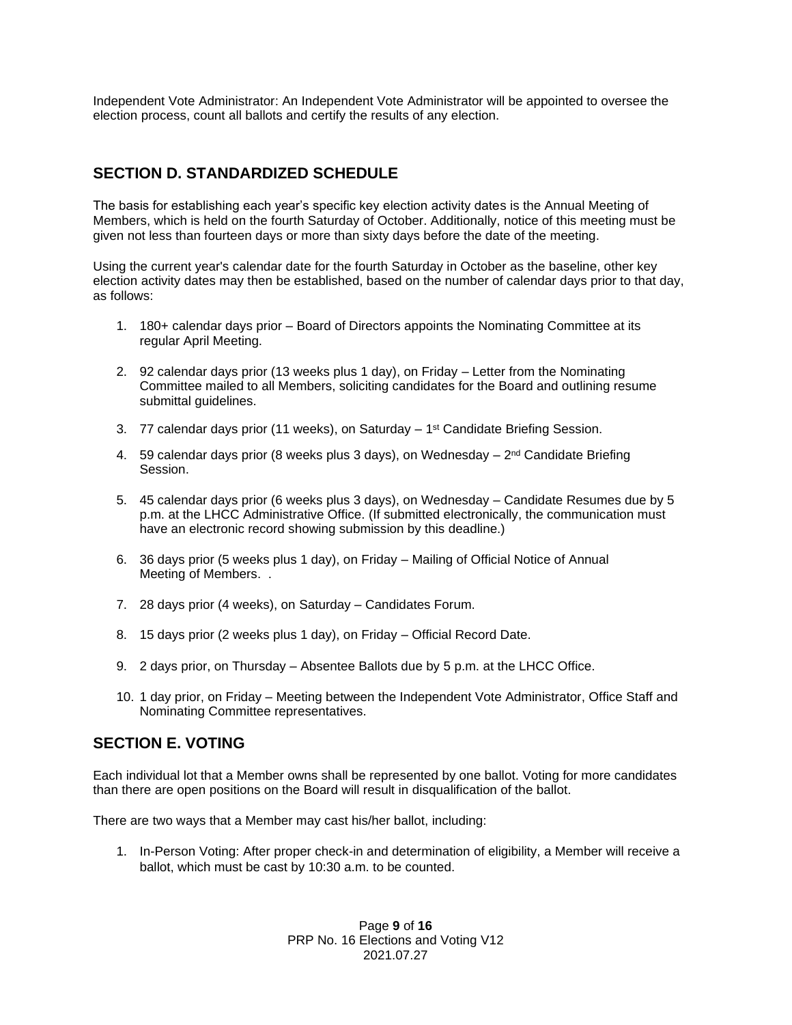Independent Vote Administrator: An Independent Vote Administrator will be appointed to oversee the election process, count all ballots and certify the results of any election.

## <span id="page-8-0"></span>**SECTION D. STANDARDIZED SCHEDULE**

The basis for establishing each year's specific key election activity dates is the Annual Meeting of Members, which is held on the fourth Saturday of October. Additionally, notice of this meeting must be given not less than fourteen days or more than sixty days before the date of the meeting.

Using the current year's calendar date for the fourth Saturday in October as the baseline, other key election activity dates may then be established, based on the number of calendar days prior to that day, as follows:

- 1. 180+ calendar days prior Board of Directors appoints the Nominating Committee at its regular April Meeting.
- 2. 92 calendar days prior (13 weeks plus 1 day), on Friday Letter from the Nominating Committee mailed to all Members, soliciting candidates for the Board and outlining resume submittal guidelines.
- 3.  $77$  calendar days prior (11 weeks), on Saturday  $-1<sup>st</sup>$  Candidate Briefing Session.
- 4. 59 calendar days prior (8 weeks plus 3 days), on Wednesday 2<sup>nd</sup> Candidate Briefing Session.
- 5. 45 calendar days prior (6 weeks plus 3 days), on Wednesday Candidate Resumes due by 5 p.m. at the LHCC Administrative Office. (If submitted electronically, the communication must have an electronic record showing submission by this deadline.)
- 6. 36 days prior (5 weeks plus 1 day), on Friday Mailing of Official Notice of Annual Meeting of Members. .
- 7. 28 days prior (4 weeks), on Saturday Candidates Forum.
- 8. 15 days prior (2 weeks plus 1 day), on Friday Official Record Date.
- 9. 2 days prior, on Thursday Absentee Ballots due by 5 p.m. at the LHCC Office.
- 10. 1 day prior, on Friday Meeting between the Independent Vote Administrator, Office Staff and Nominating Committee representatives.

## <span id="page-8-1"></span>**SECTION E. VOTING**

Each individual lot that a Member owns shall be represented by one ballot. Voting for more candidates than there are open positions on the Board will result in disqualification of the ballot.

There are two ways that a Member may cast his/her ballot, including:

1. In-Person Voting: After proper check-in and determination of eligibility, a Member will receive a ballot, which must be cast by 10:30 a.m. to be counted.

> Page **9** of **16** PRP No. 16 Elections and Voting V12 2021.07.27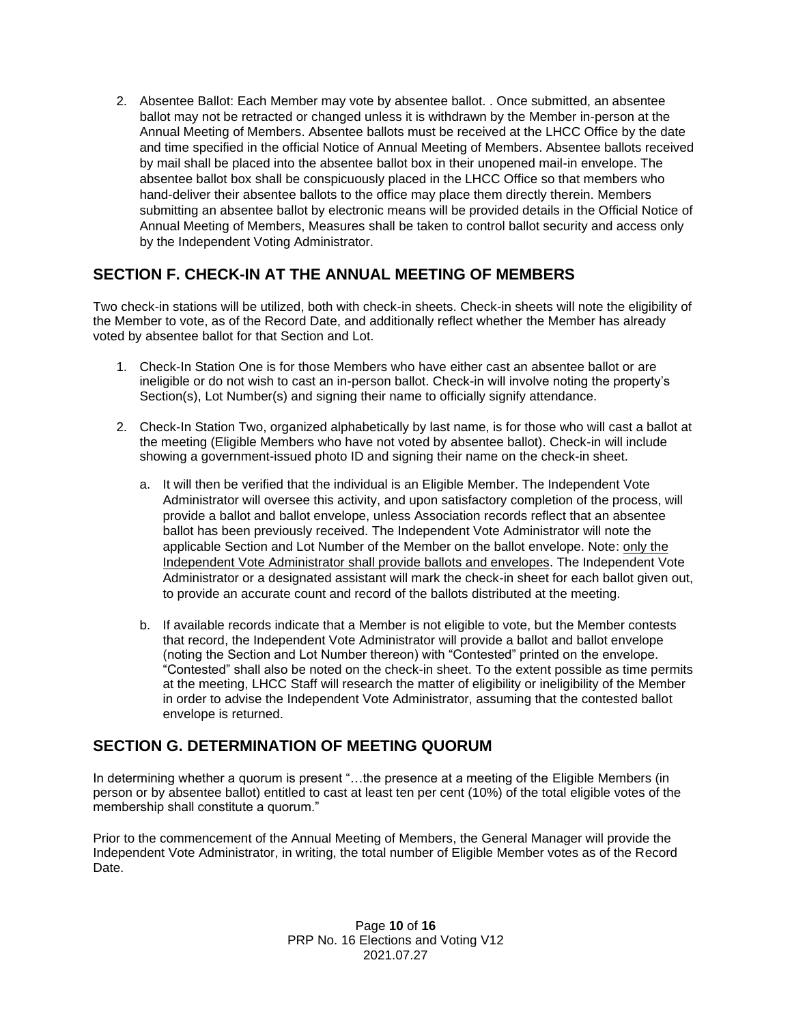2. Absentee Ballot: Each Member may vote by absentee ballot. . Once submitted, an absentee ballot may not be retracted or changed unless it is withdrawn by the Member in-person at the Annual Meeting of Members. Absentee ballots must be received at the LHCC Office by the date and time specified in the official Notice of Annual Meeting of Members. Absentee ballots received by mail shall be placed into the absentee ballot box in their unopened mail-in envelope. The absentee ballot box shall be conspicuously placed in the LHCC Office so that members who hand-deliver their absentee ballots to the office may place them directly therein. Members submitting an absentee ballot by electronic means will be provided details in the Official Notice of Annual Meeting of Members, Measures shall be taken to control ballot security and access only by the Independent Voting Administrator.

## <span id="page-9-0"></span>**SECTION F. CHECK-IN AT THE ANNUAL MEETING OF MEMBERS**

Two check-in stations will be utilized, both with check-in sheets. Check-in sheets will note the eligibility of the Member to vote, as of the Record Date, and additionally reflect whether the Member has already voted by absentee ballot for that Section and Lot.

- 1. Check-In Station One is for those Members who have either cast an absentee ballot or are ineligible or do not wish to cast an in-person ballot. Check-in will involve noting the property's Section(s), Lot Number(s) and signing their name to officially signify attendance.
- 2. Check-In Station Two, organized alphabetically by last name, is for those who will cast a ballot at the meeting (Eligible Members who have not voted by absentee ballot). Check-in will include showing a government-issued photo ID and signing their name on the check-in sheet.
	- a. It will then be verified that the individual is an Eligible Member. The Independent Vote Administrator will oversee this activity, and upon satisfactory completion of the process, will provide a ballot and ballot envelope, unless Association records reflect that an absentee ballot has been previously received. The Independent Vote Administrator will note the applicable Section and Lot Number of the Member on the ballot envelope. Note: only the Independent Vote Administrator shall provide ballots and envelopes. The Independent Vote Administrator or a designated assistant will mark the check-in sheet for each ballot given out, to provide an accurate count and record of the ballots distributed at the meeting.
	- b. If available records indicate that a Member is not eligible to vote, but the Member contests that record, the Independent Vote Administrator will provide a ballot and ballot envelope (noting the Section and Lot Number thereon) with "Contested" printed on the envelope. "Contested" shall also be noted on the check-in sheet. To the extent possible as time permits at the meeting, LHCC Staff will research the matter of eligibility or ineligibility of the Member in order to advise the Independent Vote Administrator, assuming that the contested ballot envelope is returned.

## <span id="page-9-1"></span>**SECTION G. DETERMINATION OF MEETING QUORUM**

In determining whether a quorum is present "...the presence at a meeting of the Eligible Members (in person or by absentee ballot) entitled to cast at least ten per cent (10%) of the total eligible votes of the membership shall constitute a quorum."

Prior to the commencement of the Annual Meeting of Members, the General Manager will provide the Independent Vote Administrator, in writing, the total number of Eligible Member votes as of the Record Date.

> Page **10** of **16** PRP No. 16 Elections and Voting V12 2021.07.27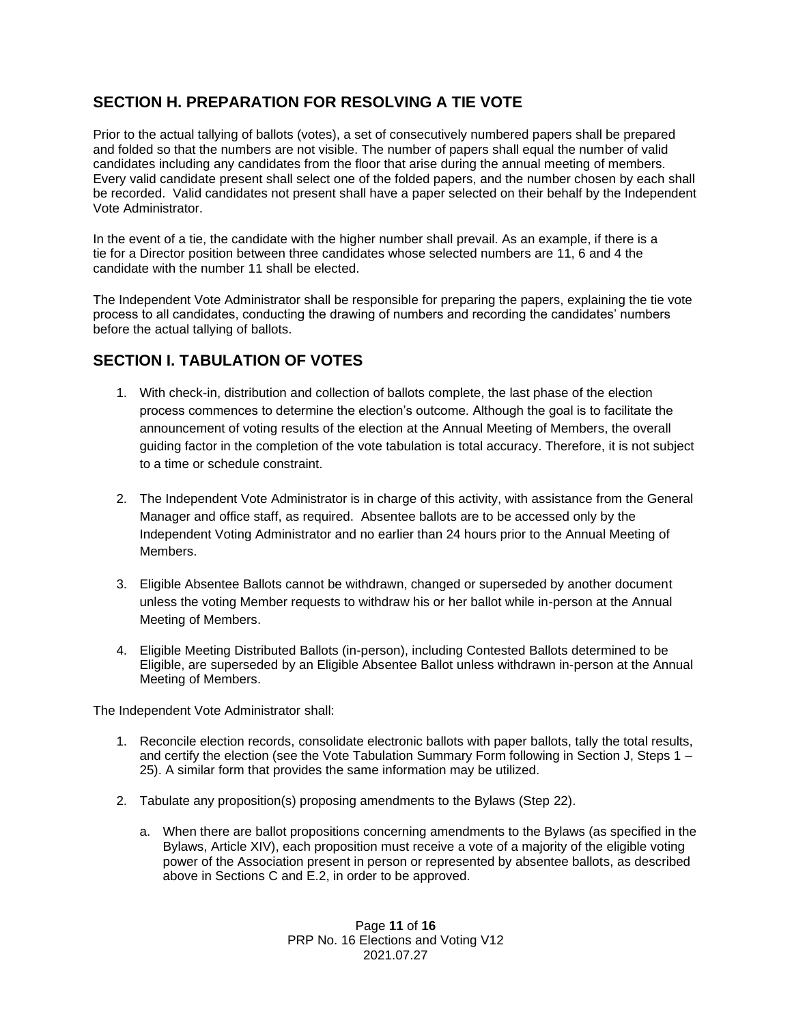## <span id="page-10-0"></span>**SECTION H. PREPARATION FOR RESOLVING A TIE VOTE**

Prior to the actual tallying of ballots (votes), a set of consecutively numbered papers shall be prepared and folded so that the numbers are not visible. The number of papers shall equal the number of valid candidates including any candidates from the floor that arise during the annual meeting of members. Every valid candidate present shall select one of the folded papers, and the number chosen by each shall be recorded. Valid candidates not present shall have a paper selected on their behalf by the Independent Vote Administrator.

In the event of a tie, the candidate with the higher number shall prevail. As an example, if there is a tie for a Director position between three candidates whose selected numbers are 11, 6 and 4 the candidate with the number 11 shall be elected.

The Independent Vote Administrator shall be responsible for preparing the papers, explaining the tie vote process to all candidates, conducting the drawing of numbers and recording the candidates' numbers before the actual tallying of ballots.

## **SECTION I. TABULATION OF VOTES**

- 1. With check-in, distribution and collection of ballots complete, the last phase of the election process commences to determine the election's outcome. Although the goal is to facilitate the announcement of voting results of the election at the Annual Meeting of Members, the overall guiding factor in the completion of the vote tabulation is total accuracy. Therefore, it is not subject to a time or schedule constraint.
- 2. The Independent Vote Administrator is in charge of this activity, with assistance from the General Manager and office staff, as required. Absentee ballots are to be accessed only by the Independent Voting Administrator and no earlier than 24 hours prior to the Annual Meeting of Members.
- 3. Eligible Absentee Ballots cannot be withdrawn, changed or superseded by another document unless the voting Member requests to withdraw his or her ballot while in-person at the Annual Meeting of Members.
- 4. Eligible Meeting Distributed Ballots (in-person), including Contested Ballots determined to be Eligible, are superseded by an Eligible Absentee Ballot unless withdrawn in-person at the Annual Meeting of Members.

The Independent Vote Administrator shall:

- 1. Reconcile election records, consolidate electronic ballots with paper ballots, tally the total results, and certify the election (see the Vote Tabulation Summary Form following in Section J, Steps 1 – 25). A similar form that provides the same information may be utilized.
- 2. Tabulate any proposition(s) proposing amendments to the Bylaws (Step 22).
	- a. When there are ballot propositions concerning amendments to the Bylaws (as specified in the Bylaws, Article XIV), each proposition must receive a vote of a majority of the eligible voting power of the Association present in person or represented by absentee ballots, as described above in Sections C and E.2, in order to be approved.

Page **11** of **16** PRP No. 16 Elections and Voting V12 2021.07.27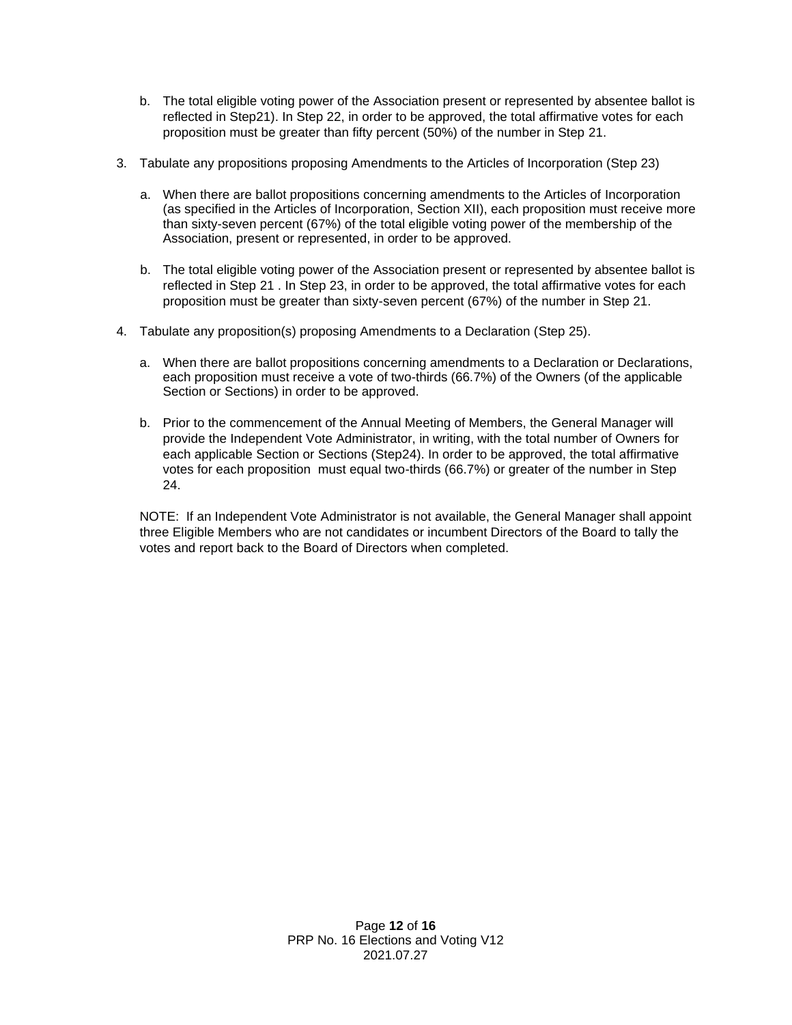- b. The total eligible voting power of the Association present or represented by absentee ballot is reflected in Step21). In Step 22, in order to be approved, the total affirmative votes for each proposition must be greater than fifty percent (50%) of the number in Step 21.
- 3. Tabulate any propositions proposing Amendments to the Articles of Incorporation (Step 23)
	- a. When there are ballot propositions concerning amendments to the Articles of Incorporation (as specified in the Articles of Incorporation, Section XII), each proposition must receive more than sixty-seven percent (67%) of the total eligible voting power of the membership of the Association, present or represented, in order to be approved.
	- b. The total eligible voting power of the Association present or represented by absentee ballot is reflected in Step 21 . In Step 23, in order to be approved, the total affirmative votes for each proposition must be greater than sixty-seven percent (67%) of the number in Step 21.
- 4. Tabulate any proposition(s) proposing Amendments to a Declaration (Step 25).
	- a. When there are ballot propositions concerning amendments to a Declaration or Declarations, each proposition must receive a vote of two-thirds (66.7%) of the Owners (of the applicable Section or Sections) in order to be approved.
	- b. Prior to the commencement of the Annual Meeting of Members, the General Manager will provide the Independent Vote Administrator, in writing, with the total number of Owners for each applicable Section or Sections (Step24). In order to be approved, the total affirmative votes for each proposition must equal two-thirds (66.7%) or greater of the number in Step 24.

<span id="page-11-0"></span>NOTE: If an Independent Vote Administrator is not available, the General Manager shall appoint three Eligible Members who are not candidates or incumbent Directors of the Board to tally the votes and report back to the Board of Directors when completed.

> Page **12** of **16** PRP No. 16 Elections and Voting V12 2021.07.27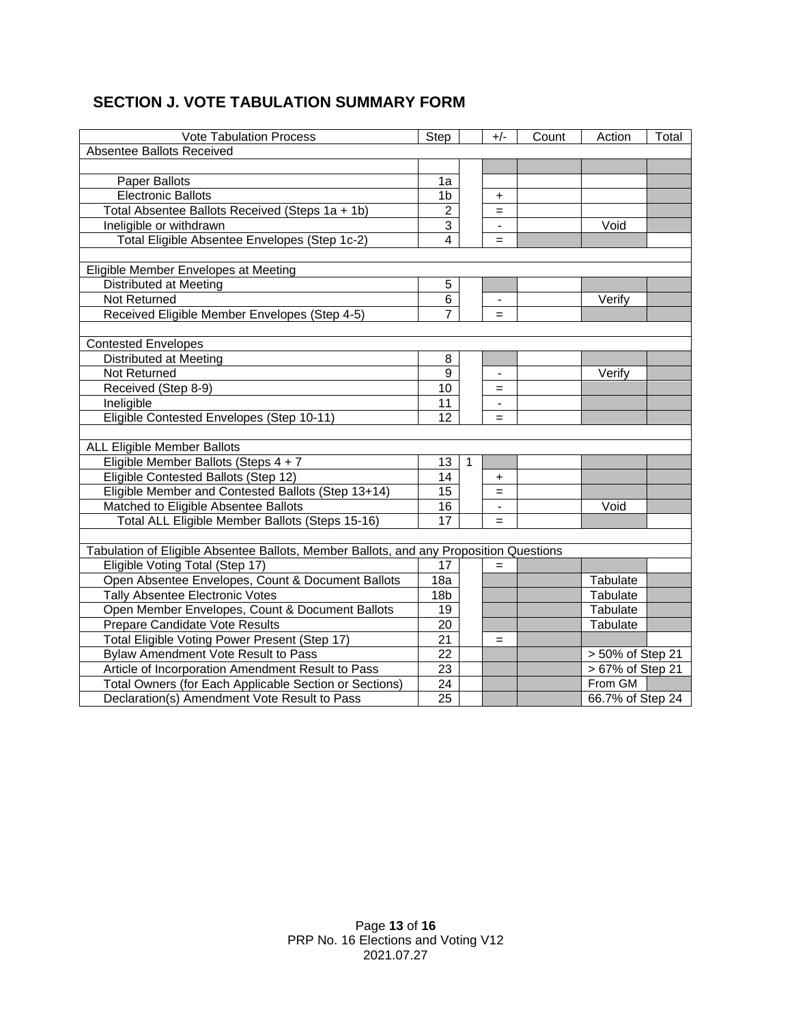## **SECTION J. VOTE TABULATION SUMMARY FORM**

<span id="page-12-0"></span>

| <b>Vote Tabulation Process</b>                                                                                                                                                                                                                                                                                                                                                                                                                                                                                                                                                                                                                                                                   |                                         |   | $+/-$                    | Count | Action                                                        | Total |
|--------------------------------------------------------------------------------------------------------------------------------------------------------------------------------------------------------------------------------------------------------------------------------------------------------------------------------------------------------------------------------------------------------------------------------------------------------------------------------------------------------------------------------------------------------------------------------------------------------------------------------------------------------------------------------------------------|-----------------------------------------|---|--------------------------|-------|---------------------------------------------------------------|-------|
| Step<br>Absentee Ballots Received                                                                                                                                                                                                                                                                                                                                                                                                                                                                                                                                                                                                                                                                |                                         |   |                          |       |                                                               |       |
|                                                                                                                                                                                                                                                                                                                                                                                                                                                                                                                                                                                                                                                                                                  |                                         |   |                          |       |                                                               |       |
| Paper Ballots                                                                                                                                                                                                                                                                                                                                                                                                                                                                                                                                                                                                                                                                                    | 1a                                      |   |                          |       |                                                               |       |
| <b>Electronic Ballots</b>                                                                                                                                                                                                                                                                                                                                                                                                                                                                                                                                                                                                                                                                        | 1 <sub>b</sub>                          |   | $\ddot{}$                |       |                                                               |       |
| Total Absentee Ballots Received (Steps 1a + 1b)                                                                                                                                                                                                                                                                                                                                                                                                                                                                                                                                                                                                                                                  | $\overline{2}$                          |   | $=$                      |       |                                                               |       |
| Ineligible or withdrawn                                                                                                                                                                                                                                                                                                                                                                                                                                                                                                                                                                                                                                                                          | 3                                       |   |                          |       | Void                                                          |       |
| Total Eligible Absentee Envelopes (Step 1c-2)                                                                                                                                                                                                                                                                                                                                                                                                                                                                                                                                                                                                                                                    | $\overline{4}$                          |   | $=$                      |       |                                                               |       |
|                                                                                                                                                                                                                                                                                                                                                                                                                                                                                                                                                                                                                                                                                                  |                                         |   |                          |       |                                                               |       |
| Eligible Member Envelopes at Meeting                                                                                                                                                                                                                                                                                                                                                                                                                                                                                                                                                                                                                                                             |                                         |   |                          |       |                                                               |       |
| Distributed at Meeting                                                                                                                                                                                                                                                                                                                                                                                                                                                                                                                                                                                                                                                                           | 5                                       |   |                          |       |                                                               |       |
| Not Returned                                                                                                                                                                                                                                                                                                                                                                                                                                                                                                                                                                                                                                                                                     | 6                                       |   | $\blacksquare$           |       | Verify                                                        |       |
| Received Eligible Member Envelopes (Step 4-5)                                                                                                                                                                                                                                                                                                                                                                                                                                                                                                                                                                                                                                                    |                                         |   | $=$                      |       |                                                               |       |
|                                                                                                                                                                                                                                                                                                                                                                                                                                                                                                                                                                                                                                                                                                  |                                         |   |                          |       |                                                               |       |
| <b>Contested Envelopes</b>                                                                                                                                                                                                                                                                                                                                                                                                                                                                                                                                                                                                                                                                       |                                         |   |                          |       |                                                               |       |
| Distributed at Meeting                                                                                                                                                                                                                                                                                                                                                                                                                                                                                                                                                                                                                                                                           | 8                                       |   |                          |       |                                                               |       |
| Not Returned                                                                                                                                                                                                                                                                                                                                                                                                                                                                                                                                                                                                                                                                                     | 9                                       |   | $\overline{\phantom{a}}$ |       | Verify                                                        |       |
| Received (Step 8-9)                                                                                                                                                                                                                                                                                                                                                                                                                                                                                                                                                                                                                                                                              | 10                                      |   | $=$                      |       |                                                               |       |
| Ineligible                                                                                                                                                                                                                                                                                                                                                                                                                                                                                                                                                                                                                                                                                       | 11                                      |   |                          |       |                                                               |       |
|                                                                                                                                                                                                                                                                                                                                                                                                                                                                                                                                                                                                                                                                                                  | 12                                      |   | $=$                      |       |                                                               |       |
|                                                                                                                                                                                                                                                                                                                                                                                                                                                                                                                                                                                                                                                                                                  |                                         |   |                          |       |                                                               |       |
| ALL Eligible Member Ballots                                                                                                                                                                                                                                                                                                                                                                                                                                                                                                                                                                                                                                                                      |                                         |   |                          |       |                                                               |       |
| Eligible Member Ballots (Steps 4 + 7                                                                                                                                                                                                                                                                                                                                                                                                                                                                                                                                                                                                                                                             | 13                                      | 1 |                          |       |                                                               |       |
|                                                                                                                                                                                                                                                                                                                                                                                                                                                                                                                                                                                                                                                                                                  | 14                                      |   | $\ddot{}$                |       |                                                               |       |
|                                                                                                                                                                                                                                                                                                                                                                                                                                                                                                                                                                                                                                                                                                  | 15                                      |   | $=$                      |       |                                                               |       |
|                                                                                                                                                                                                                                                                                                                                                                                                                                                                                                                                                                                                                                                                                                  | 16                                      |   |                          |       | Void                                                          |       |
| Total ALL Eligible Member Ballots (Steps 15-16)                                                                                                                                                                                                                                                                                                                                                                                                                                                                                                                                                                                                                                                  | $\overline{17}$                         |   | $=$                      |       |                                                               |       |
|                                                                                                                                                                                                                                                                                                                                                                                                                                                                                                                                                                                                                                                                                                  |                                         |   |                          |       |                                                               |       |
|                                                                                                                                                                                                                                                                                                                                                                                                                                                                                                                                                                                                                                                                                                  |                                         |   |                          |       |                                                               |       |
|                                                                                                                                                                                                                                                                                                                                                                                                                                                                                                                                                                                                                                                                                                  | 17                                      |   |                          |       |                                                               |       |
|                                                                                                                                                                                                                                                                                                                                                                                                                                                                                                                                                                                                                                                                                                  | 18a                                     |   |                          |       | Tabulate                                                      |       |
|                                                                                                                                                                                                                                                                                                                                                                                                                                                                                                                                                                                                                                                                                                  |                                         |   |                          |       | Tabulate                                                      |       |
|                                                                                                                                                                                                                                                                                                                                                                                                                                                                                                                                                                                                                                                                                                  |                                         |   |                          |       | Tabulate                                                      |       |
|                                                                                                                                                                                                                                                                                                                                                                                                                                                                                                                                                                                                                                                                                                  |                                         |   |                          |       |                                                               |       |
|                                                                                                                                                                                                                                                                                                                                                                                                                                                                                                                                                                                                                                                                                                  |                                         |   | $=$                      |       |                                                               |       |
|                                                                                                                                                                                                                                                                                                                                                                                                                                                                                                                                                                                                                                                                                                  | 22                                      |   |                          |       |                                                               |       |
|                                                                                                                                                                                                                                                                                                                                                                                                                                                                                                                                                                                                                                                                                                  | 23                                      |   |                          |       |                                                               |       |
|                                                                                                                                                                                                                                                                                                                                                                                                                                                                                                                                                                                                                                                                                                  |                                         |   |                          |       | From GM                                                       |       |
| Declaration(s) Amendment Vote Result to Pass                                                                                                                                                                                                                                                                                                                                                                                                                                                                                                                                                                                                                                                     | 25                                      |   |                          |       | 66.7% of Step 24                                              |       |
| Eligible Contested Envelopes (Step 10-11)<br>Eligible Contested Ballots (Step 12)<br>Eligible Member and Contested Ballots (Step 13+14)<br>Matched to Eligible Absentee Ballots<br>Tabulation of Eligible Absentee Ballots, Member Ballots, and any Proposition Questions<br>Eligible Voting Total (Step 17)<br>Open Absentee Envelopes, Count & Document Ballots<br>Tally Absentee Electronic Votes<br>Open Member Envelopes, Count & Document Ballots<br>Prepare Candidate Vote Results<br>Total Eligible Voting Power Present (Step 17)<br>Bylaw Amendment Vote Result to Pass<br>Article of Incorporation Amendment Result to Pass<br>Total Owners (for Each Applicable Section or Sections) | 18 <sub>b</sub><br>19<br>20<br>21<br>24 |   |                          |       | Tabulate<br>> 50% of Step 21<br>$\overline{>67\%}$ of Step 21 |       |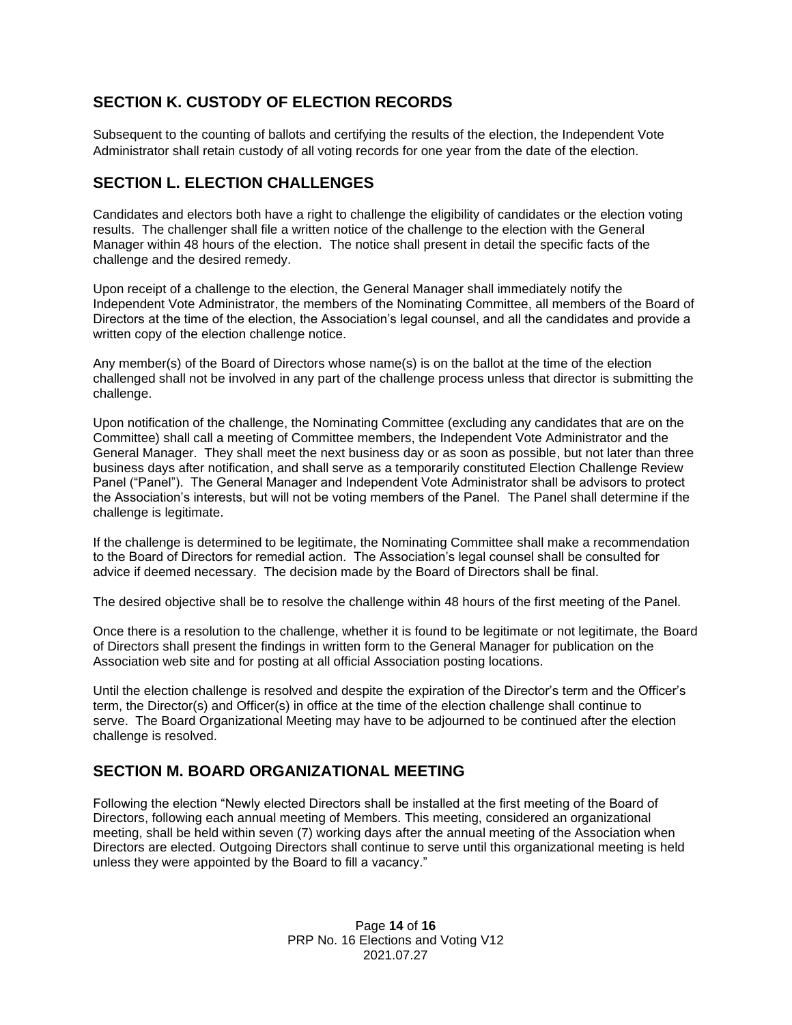## **SECTION K. CUSTODY OF ELECTION RECORDS**

Subsequent to the counting of ballots and certifying the results of the election, the Independent Vote Administrator shall retain custody of all voting records for one year from the date of the election.

## <span id="page-13-0"></span>**SECTION L. ELECTION CHALLENGES**

Candidates and electors both have a right to challenge the eligibility of candidates or the election voting results. The challenger shall file a written notice of the challenge to the election with the General Manager within 48 hours of the election. The notice shall present in detail the specific facts of the challenge and the desired remedy.

Upon receipt of a challenge to the election, the General Manager shall immediately notify the Independent Vote Administrator, the members of the Nominating Committee, all members of the Board of Directors at the time of the election, the Association's legal counsel, and all the candidates and provide a written copy of the election challenge notice.

Any member(s) of the Board of Directors whose name(s) is on the ballot at the time of the election challenged shall not be involved in any part of the challenge process unless that director is submitting the challenge.

Upon notification of the challenge, the Nominating Committee (excluding any candidates that are on the Committee) shall call a meeting of Committee members, the Independent Vote Administrator and the General Manager. They shall meet the next business day or as soon as possible, but not later than three business days after notification, and shall serve as a temporarily constituted Election Challenge Review Panel ("Panel"). The General Manager and Independent Vote Administrator shall be advisors to protect the Association's interests, but will not be voting members of the Panel. The Panel shall determine if the challenge is legitimate.

If the challenge is determined to be legitimate, the Nominating Committee shall make a recommendation to the Board of Directors for remedial action. The Association's legal counsel shall be consulted for advice if deemed necessary. The decision made by the Board of Directors shall be final.

The desired objective shall be to resolve the challenge within 48 hours of the first meeting of the Panel.

Once there is a resolution to the challenge, whether it is found to be legitimate or not legitimate, the Board of Directors shall present the findings in written form to the General Manager for publication on the Association web site and for posting at all official Association posting locations.

Until the election challenge is resolved and despite the expiration of the Director's term and the Officer's term, the Director(s) and Officer(s) in office at the time of the election challenge shall continue to serve. The Board Organizational Meeting may have to be adjourned to be continued after the election challenge is resolved.

## <span id="page-13-1"></span>**SECTION M. BOARD ORGANIZATIONAL MEETING**

<span id="page-13-2"></span>Following the election "Newly elected Directors shall be installed at the first meeting of the Board of Directors, following each annual meeting of Members. This meeting, considered an organizational meeting, shall be held within seven (7) working days after the annual meeting of the Association when Directors are elected. Outgoing Directors shall continue to serve until this organizational meeting is held unless they were appointed by the Board to fill a vacancy."

> Page **14** of **16** PRP No. 16 Elections and Voting V12 2021.07.27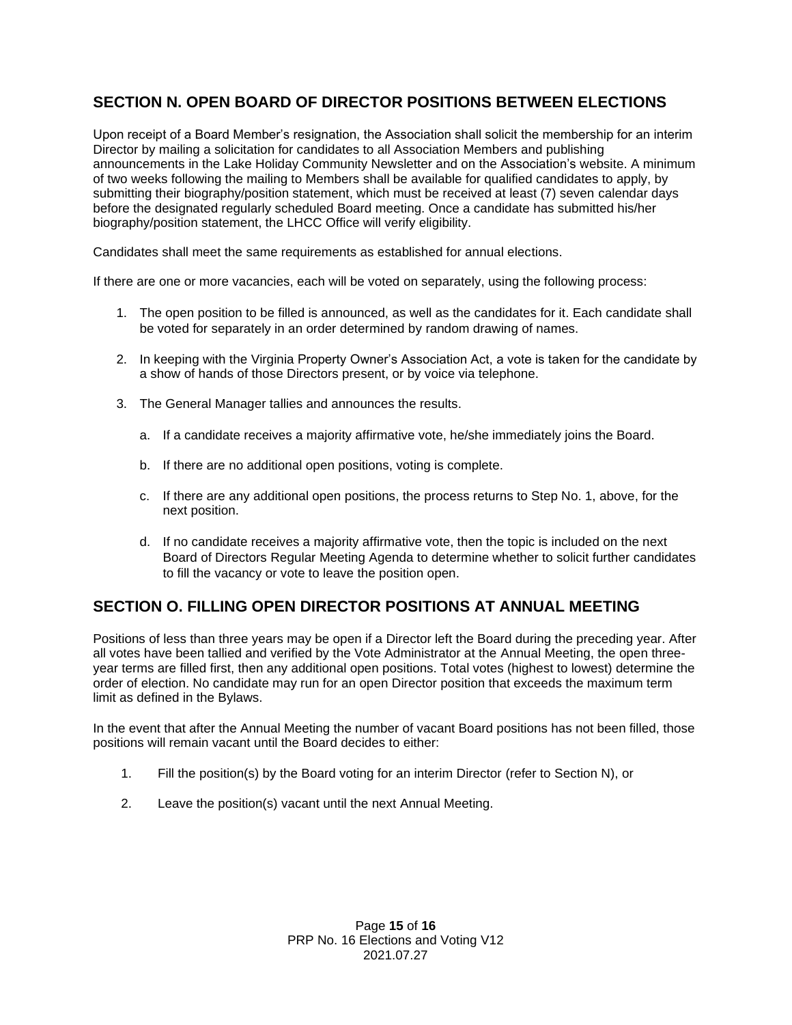## **SECTION N. OPEN BOARD OF DIRECTOR POSITIONS BETWEEN ELECTIONS**

Upon receipt of a Board Member's resignation, the Association shall solicit the membership for an interim Director by mailing a solicitation for candidates to all Association Members and publishing announcements in the Lake Holiday Community Newsletter and on the Association's website. A minimum of two weeks following the mailing to Members shall be available for qualified candidates to apply, by submitting their biography/position statement, which must be received at least (7) seven calendar days before the designated regularly scheduled Board meeting. Once a candidate has submitted his/her biography/position statement, the LHCC Office will verify eligibility.

Candidates shall meet the same requirements as established for annual elections.

If there are one or more vacancies, each will be voted on separately, using the following process:

- 1. The open position to be filled is announced, as well as the candidates for it. Each candidate shall be voted for separately in an order determined by random drawing of names.
- 2. In keeping with the Virginia Property Owner's Association Act, a vote is taken for the candidate by a show of hands of those Directors present, or by voice via telephone.
- 3. The General Manager tallies and announces the results.
	- a. If a candidate receives a majority affirmative vote, he/she immediately joins the Board.
	- b. If there are no additional open positions, voting is complete.
	- c. If there are any additional open positions, the process returns to Step No. 1, above, for the next position.
	- d. If no candidate receives a majority affirmative vote, then the topic is included on the next Board of Directors Regular Meeting Agenda to determine whether to solicit further candidates to fill the vacancy or vote to leave the position open.

## <span id="page-14-0"></span>**SECTION O. FILLING OPEN DIRECTOR POSITIONS AT ANNUAL MEETING**

Positions of less than three years may be open if a Director left the Board during the preceding year. After all votes have been tallied and verified by the Vote Administrator at the Annual Meeting, the open threeyear terms are filled first, then any additional open positions. Total votes (highest to lowest) determine the order of election. No candidate may run for an open Director position that exceeds the maximum term limit as defined in the Bylaws.

In the event that after the Annual Meeting the number of vacant Board positions has not been filled, those positions will remain vacant until the Board decides to either:

- 1. Fill the position(s) by the Board voting for an interim Director (refer to Section N), or
- 2. Leave the position(s) vacant until the next Annual Meeting.

Page **15** of **16** PRP No. 16 Elections and Voting V12 2021.07.27